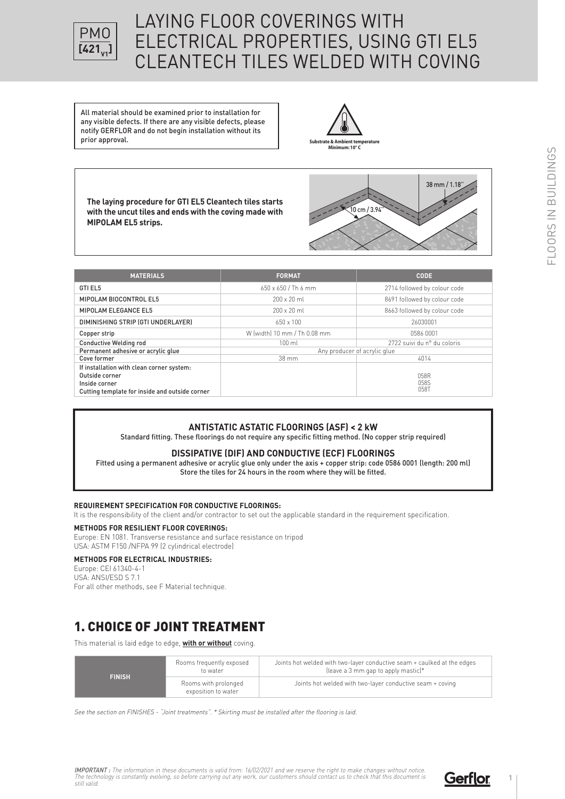

# LAYING FLOOR COVERINGS WITH ELECTRICAL PROPERTIES, USING GTI EL5 CLEANTECH TILES WELDED WITH COVING

All material should be examined prior to installation for any visible defects. If there are any visible defects, please notify GERFLOR and do not begin installation without its prior approval.



**The laying procedure for GTI EL5 Cleantech tiles starts with the uncut tiles and ends with the coving made with MIPOLAM EL5 strips.**



| <b>MATERIALS</b>                                                                                                               | <b>FORMAT</b>                | <b>CODE</b>                  |
|--------------------------------------------------------------------------------------------------------------------------------|------------------------------|------------------------------|
| GTI EL5                                                                                                                        | 650 x 650 / Th 6 mm          | 2714 followed by colour code |
| MIPOLAM BIOCONTROL EL5                                                                                                         | $200 \times 20$ ml           | 8691 followed by colour code |
| MIPOLAM ELEGANCE EL5                                                                                                           | $200 \times 20$ ml           | 8663 followed by colour code |
| DIMINISHING STRIP (GTI UNDERLAYER)                                                                                             | $650 \times 100$             | 26030001                     |
| Copper strip                                                                                                                   | W (width) 10 mm / Th 0.08 mm | 0586 0001                    |
| <b>Conductive Welding rod</b>                                                                                                  | $100 \mathrm{ml}$            | 2722 suivi du n° du coloris  |
| Permanent adhesive or acrylic glue                                                                                             | Any producer of acrylic glue |                              |
| Cove former                                                                                                                    | $38 \text{ mm}$              | 4014                         |
| If installation with clean corner system:<br>Outside corner<br>Inside corner<br>Cutting template for inside and outside corner |                              | 058R<br>058S<br>058T         |

#### **ANTISTATIC ASTATIC FLOORINGS (ASF) < 2 kW**

Standard fitting. These floorings do not require any specific fitting method. (No copper strip required)

#### **DISSIPATIVE (DIF) AND CONDUCTIVE (ECF) FLOORINGS**

Fitted using a permanent adhesive or acrylic glue only under the axis + copper strip: code 0586 0001 (length: 200 ml) Store the tiles for 24 hours in the room where they will be fitted.

#### **REQUIREMENT SPECIFICATION FOR CONDUCTIVE FLOORINGS:**

It is the responsibility of the client and/or contractor to set out the applicable standard in the requirement specification.

#### **METHODS FOR RESILIENT FLOOR COVERINGS:**

Europe: EN 1081. Transverse resistance and surface resistance on tripod USA: ASTM F150 /NFPA 99 (2 cylindrical electrode)

#### **METHODS FOR ELECTRICAL INDUSTRIES:**

Europe: CEI 61340-4-1 USA: ANSI/ESD S 7.1 For all other methods, see F Material technique.

## 1. CHOICE OF JOINT TREATMENT

This material is laid edge to edge, **with or without** coving.

| to water<br><b>FINISH</b><br>Rooms with prolonged<br>exposition to water | Rooms frequently exposed | Joints hot welded with two-layer conductive seam + caulked at the edges<br>(leave a 3 mm gap to apply mastic)* |
|--------------------------------------------------------------------------|--------------------------|----------------------------------------------------------------------------------------------------------------|
|                                                                          |                          | Joints hot welded with two-layer conductive seam + coving                                                      |

See the section on FINISHES - "Joint treatments". \* Skirting must be installed after the flooring is laid.

**FLOORS IN BUILDINGS** FLOORS IN BUILDINGS

**IMPORTANT :** The information in these documents is valid from: 16/02/2021 and we reserve the right to make changes without notice.<br>The technology is constantly evolving, so before carrying out any work, our customers shou

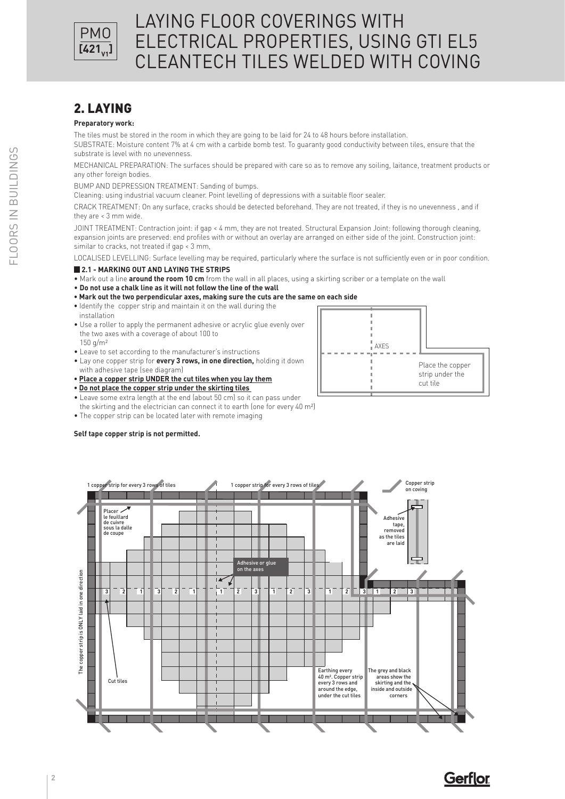

## 2. LAYING

#### **Preparatory work:**

The tiles must be stored in the room in which they are going to be laid for 24 to 48 hours before installation.

SUBSTRATE: Moisture content 7% at 4 cm with a carbide bomb test. To guaranty good conductivity between tiles, ensure that the substrate is level with no unevenness.

MECHANICAL PREPARATION: The surfaces should be prepared with care so as to remove any soiling, laitance, treatment products or any other foreign bodies.

BUMP AND DEPRESSION TREATMENT: Sanding of bumps.

Cleaning: using industrial vacuum cleaner. Point levelling of depressions with a suitable floor sealer.

CRACK TREATMENT: On any surface, cracks should be detected beforehand. They are not treated, if they is no unevenness , and if they are < 3 mm wide.

JOINT TREATMENT: Contraction joint: if gap < 4 mm, they are not treated. Structural Expansion Joint: following thorough cleaning, expansion joints are preserved: end profiles with or without an overlay are arranged on either side of the joint. Construction joint: similar to cracks, not treated if gap < 3 mm,

LOCALISED LEVELLING: Surface levelling may be required, particularly where the surface is not sufficiently even or in poor condition.

#### **2.1 - MARKING OUT AND LAYING THE STRIPS**

• Mark out a line **around the room 10 cm** from the wall in all places, using a skirting scriber or a template on the wall

- **Do not use a chalk line as it will not follow the line of the wall**
- **Mark out the two perpendicular axes, making sure the cuts are the same on each side**
- **•** Identify the copper strip and maintain it on the wall during the installation
- Use a roller to apply the permanent adhesive or acrylic glue evenly over the two axes with a coverage of about 100 to  $150 \text{ g/m}^2$
- Leave to set according to the manufacturer's instructions
- Lay one copper strip for **every 3 rows, in one direction,** holding it down with adhesive tape (see diagram)
- **Place a copper strip UNDER the cut tiles when you lay them**
- **Do not place the copper strip under the skirting tiles**
- Leave some extra length at the end (about 50 cm) so it can pass under
- the skirting and the electrician can connect it to earth (one for every 40 m²)
- The copper strip can be located later with remote imaging

#### **Self tape copper strip is not permitted.**





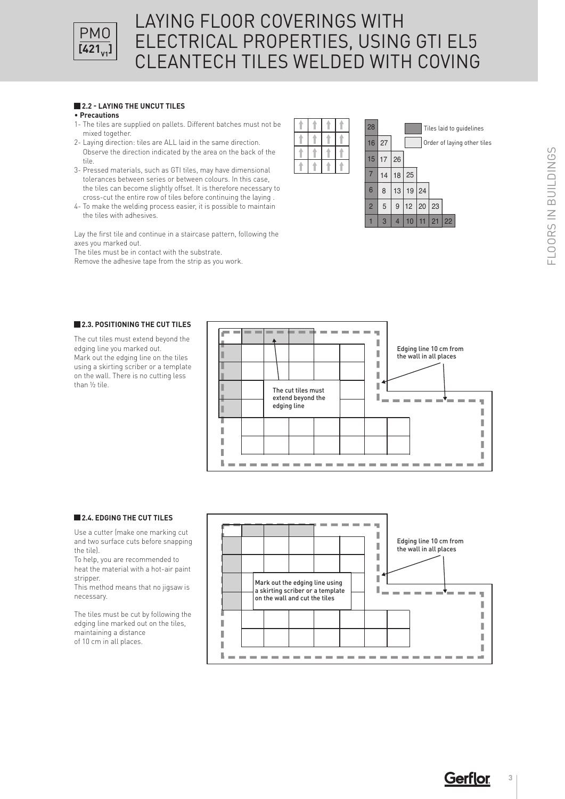

### LAYING FLOOR COVERINGS WITH ELECTRICAL PROPERTIES, USING GTI EL5 CLEANTECH TILES WELDED WITH COVING  $\sim$   $\sim$ 15

## **2.2 - LAYING THE UNCUT TILES**

#### • **Precautions**

- 1- The tiles are supplied on pallets. Different batches must not be mixed together.
- 2- Laying direction: tiles are ALL laid in the same direction. Observe the direction indicated by the area on the back of the tile.
- 3- Pressed materials, such as GTI tiles, may have dimensional tolerances between series or between colours. In this case, the tiles can become slightly offset. It is therefore necessary to cross-cut the entire row of tiles before continuing the laying .
- 4- To make the welding process easier, it is possible to maintain the tiles with adhesives.

Lay the first tile and continue in a staircase pattern, following the axes you marked out.

The tiles must be in contact with the substrate.

Remove the adhesive tape from the strip as you work.



#### **2.3. POSITIONING THE CUT TILES**

The cut tiles must extend beyond the edging line you marked out. Mark out the edging line on the tiles using a skirting scriber or a template on the wall. There is no cutting less than ½ tile.



#### **2.4. EDGING THE CUT TILES**

Use a cutter (make one marking cut and two surface cuts before snapping the tile).

To help, you are recommended to heat the material with a hot-air paint stripper.

This method means that no jigsaw is necessary.

The tiles must be cut by following the edging line marked out on the tiles, maintaining a distance of 10 cm in all places.



**Gerflor 3**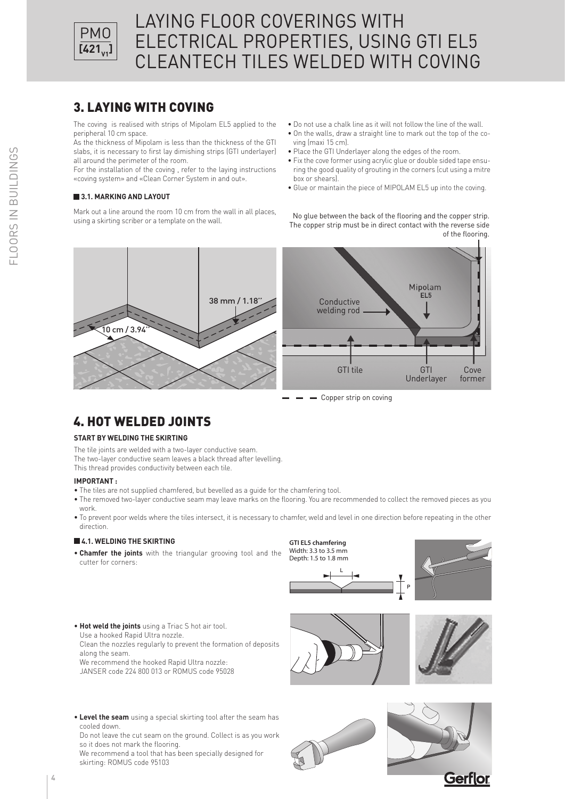

## 3. LAYING WITH COVING

The coving is realised with strips of Mipolam EL5 applied to the peripheral 10 cm space.

As the thickness of Mipolam is less than the thickness of the GTI slabs, it is necessary to first lay dimishing strips (GTI underlayer) all around the perimeter of the room.

For the installation of the coving , refer to the laying instructions «coving system» and «Clean Corner System in and out».

#### **3.1. MARKING AND LAYOUT**

Mark out a line around the room 10 cm from the wall in all places, using a skirting scriber or a template on the wall.

- Do not use a chalk line as it will not follow the line of the wall.
- On the walls, draw a straight line to mark out the top of the coving (maxi 15 cm).
- Place the GTI Underlayer along the edges of the room.
- Fix the cove former using acrylic glue or double sided tape ensuring the good quality of grouting in the corners (cut using a mitre box or shears).
- Glue or maintain the piece of MIPOLAM EL5 up into the coving.

No glue between the back of the flooring and the copper strip. The copper strip must be in direct contact with the reverse side of the flooring.



**-** Copper strip on coving

## 4. HOT WELDED JOINTS

#### **START BY WELDING THE SKIRTING**

The tile joints are welded with a two-layer conductive seam.

The two-layer conductive seam leaves a black thread after levelling.

This thread provides conductivity between each tile.

#### **IMPORTANT :**

- The tiles are not supplied chamfered, but bevelled as a guide for the chamfering tool.
- The removed two-layer conductive seam may leave marks on the flooring. You are recommended to collect the removed pieces as you work.
- To prevent poor welds where the tiles intersect, it is necessary to chamfer, weld and level in one direction before repeating in the other direction.

#### **4.1. WELDING THE SKIRTING**

• **Chamfer the joints** with the triangular grooving tool and the cutter for corners:





• **Hot weld the joints** using a Triac S hot air tool. Use a hooked Rapid Ultra nozzle. Clean the nozzles regularly to prevent the formation of deposits

along the seam. We recommend the hooked Rapid Ultra nozzle:

JANSER code 224 800 013 or ROMUS code 95028





• **Level the seam** using a special skirting tool after the seam has cooled down.

Do not leave the cut seam on the ground. Collect is as you work so it does not mark the flooring.

We recommend a tool that has been specially designed for skirting: ROMUS code 95103



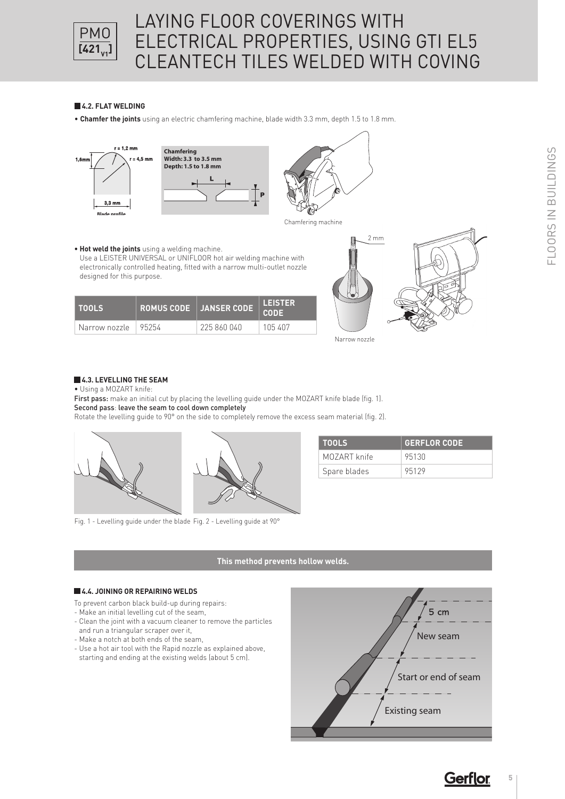

# LAYING FLOOR COVERINGS WITH ELECTRICAL PROPERTIES, USING GTI EL5 CLEANTECH TILES WELDED WITH COVING

### **4.2. FLAT WELDING**

• **Chamfer the joints** using an electric chamfering machine, blade width 3.3 mm, depth 1.5 to 1.8 mm.



**• Hot weld the joints** using a welding machine.

**TOOLS ROMUS CODE JANSER CODE LEISTER** 

Use a LEISTER UNIVERSAL or UNIFLOOR hot air welding machine with electronically controlled heating, fitted with a narrow multi-outlet nozzle

Narrow nozzle 95254 225 860 040 105 407



Chamfering machine



### **4.3. LEVELLING THE SEAM**

designed for this purpose.

• Using a MOZART knife:

First pass: make an initial cut by placing the levelling guide under the MOZART knife blade (fig. 1). Second pass: leave the seam to cool down completely

Rotate the levelling guide to 90° on the side to completely remove the excess seam material (fig. 2).



Fig. 1 - Levelling guide under the blade Fig. 2 - Levelling guide at 90°

## **TOOLS GERFLOR CODE** MOZART knife | 95130 Spare blades | 95129

#### **This method prevents hollow welds.**

**CODE**

#### **4.4. JOINING OR REPAIRING WELDS**

To prevent carbon black build-up during repairs:

- Make an initial levelling cut of the seam,
- Clean the joint with a vacuum cleaner to remove the particles and run a triangular scraper over it,
- Make a notch at both ends of the seam,
- Use a hot air tool with the Rapid nozzle as explained above, starting and ending at the existing welds (about 5 cm).